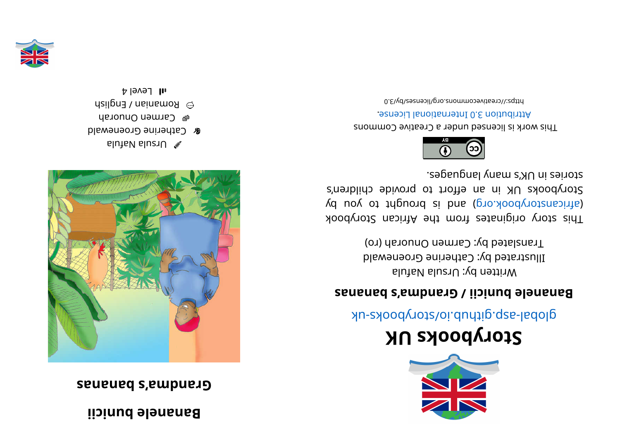## **ii ci nub el enanaB**

## **sananabs' a mdnar G**



- alutable luzr $\cup$
- **& Catherine Groenewald**
- men Onuorah
- **manian / English**
- $1$  all  $\,$  Level 4



## **KUskoobyr otS**

global-aspookhotal approach and above -uk

## **sananabs' a mdnar G/ ii ci nub el enanaB**

Written by: Ursula Nafula Illustrated by: Catherine Groenewald Translated by: Carmen Onuorah (ro)

kood yot a kiginates from the African Storybook (d uoy ot tripuor ai bna (pro. koodynotanaith) Storybooks UK in an effort to provide children's stories in UK's many languages.



This work is licensed under a Creative Commons . esnecial lanoit anternational License.

bttps://creativecommons.org/licenses/by/3.0

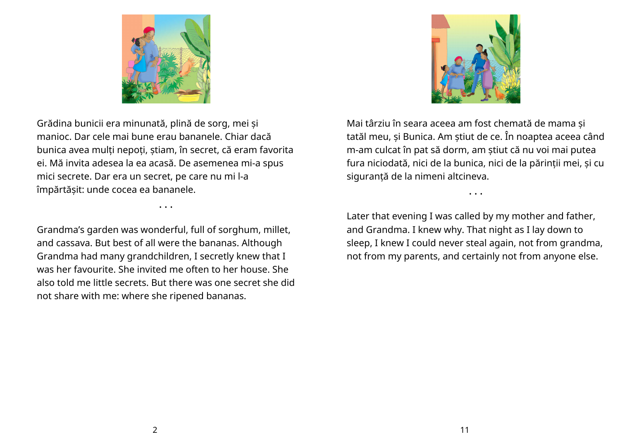

Grădina bunicii era minunată, plină de sorg, mei și manioc. Dar cele mai bune erau bananele. Chiar dacă bunica avea mulți nepoți, știam, în secret, că eram favorita ei. Mă invita adesea la ea acasă. De asemenea mi-a spus mici secrete. Dar era un secret, pe care nu mi l-a împărtășit: unde cocea ea bananele.

Grandma's garden was wonderful, full of sorghum, millet, and cassava. But best of all were the bananas. Although Grandma had many grandchildren, I secretly knew that I was her favourite. She invited me often to her house. She also told me little secrets. But there was one secret she did not share with me: where she ripened bananas.

• • •



Mai târziu în seara aceea am fost chemată de mama și tatăl meu, și Bunica. Am știut de ce. În noaptea aceea când m-am culcat în pat să dorm, am știut că nu voi mai putea fura niciodată, nici de la bunica, nici de la părinții mei, și cu siguranță de la nimeni altcineva.

Later that evening I was called by my mother and father, and Grandma. I knew why. That night as I lay down to sleep, I knew I could never steal again, not from grandma, not from my parents, and certainly not from anyone else.

• • •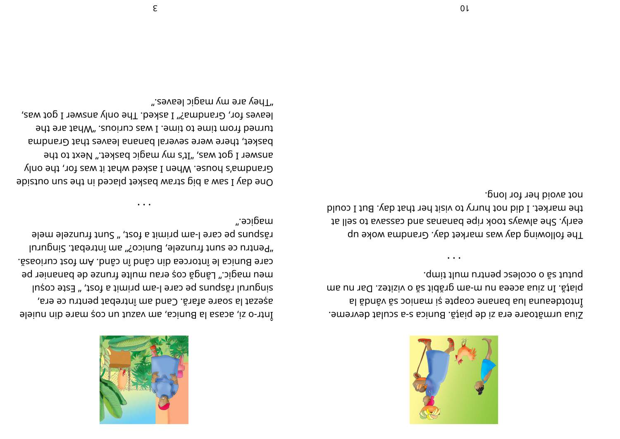

putut să o ocolesc pentru mult timp. ms un and testion of the me-m unespit sa o vizitez. Dar nu am El ăbnêv ăz poinam iz etqaop enante să vândă la emente is is a sinug . As is a sculat buriculat devreme.

not avoid her for long. the market. I did not hurry to visit her that day. But I could to lles of avassas bns asnanas and cassava to sell at The following day was market day. Grandma woke up

".e9vsəl ɔipɕm ɣm əาɕ ɣənT leaves for, Grandma?" I asked. The only answer I got was, turned from time to time. I was curious. "What are the basket, there were several banana leaves that Grandma answer I got was, "It's my magic basket." Next to the Grandma's house. When I asked what it was for, the only One day I saw a big straw basket placed in the sun outside

răspuns pe care l-am primit a fost, " Sunt frunzele mele "Pentru ce sunt frunzele, Bunico?" am întrebat. Singurul . Essoinus teof mA .bnés ní bnés nib sestotní el spinud etra meu magic." Lângă coș erau multe frunze de bananier pe

singurul răspuns pe care l-am primit a fost, " Este coșul

așezat la soare afară. Cand am întrebat pentru ce era,

Intr-o zi, acasa la Bunica, am vazut un coș mare din nuiele

".epiga."

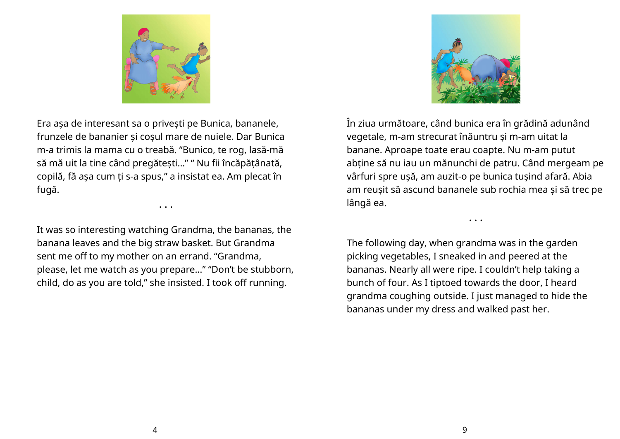

Era așa de interesant sa o privești pe Bunica, bananele, frunzele de bananier și coșul mare de nuiele. Dar Bunica m-a trimis la mama cu o treabă. "Bunico, te rog, lasă-mă să mă uit la tine când pregătești…" " Nu fii încăpățânată, copilă, fă așa cum ți s-a spus," a insistat ea. Am plecat în fugă.

It was so interesting watching Grandma, the bananas, the banana leaves and the big straw basket. But Grandma sent me off to my mother on an errand. "Grandma, please, let me watch as you prepare…" "Don't be stubborn, child, do as you are told," she insisted. I took off running.

• • •



În ziua următoare, când bunica era în grădină adunând vegetale, m-am strecurat înăuntru și m-am uitat la banane. Aproape toate erau coapte. Nu m-am putut abține să nu iau un mănunchi de patru. Când mergeam pe vârfuri spre ușă, am auzit-o pe bunica tușind afară. Abia am reușit să ascund bananele sub rochia mea și să trec pe lângă ea.

• • •

The following day, when grandma was in the garden picking vegetables, I sneaked in and peered at the bananas. Nearly all were ripe. I couldn't help taking a bunch of four. As I tiptoed towards the door, I heard grandma coughing outside. I just managed to hide the bananas under my dress and walked past her.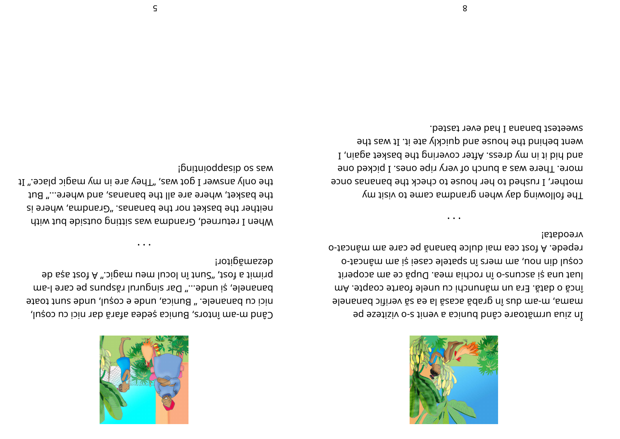

**Vreodata!** repede. A fost cea mai dulce banană pe care am mâncat-o cosul din nou, am mers în spatele casei și am mâncat-o tinadope me eo ăquQ .sem aidoon nî o-enupas iș snu taul încă o dată. Era un mănunchi cu unele foarte coapte. Am 9 Jonand Dilinev ăz so sl ăzasa ădanp nî zub ma-m , smam 9q esetisiv o-z tinev a soinud bnâs exaotămu suiz nI

sweetest banana I had ever tasted. went behind the house and quickly ate it. It was the I , nisps texted edt priver covering the basket again, I more. There was a bunch of very ripe ones. I picked one mother, I rushed to her house to check the bananas once The following day when grandna came to visit my



dezamágitor! ab sas frou A "... jpsm usm lubol ni trund so ta siming ananele, și unde..." Dar singurul răspuns pe care l-am nici cu bananele. " Bunica, unde e cosul, unde sunt toate când m-am întors, Bunica ședea afară dar nici cu coșul,

ipnizioddesip os sew the only answer I got was, "They are in my magic place." It the basket, where are all the bananas, and where..." But neither the basket nor the bananas. "Grandma, where is when I returned, Grandma was sitting outside but with